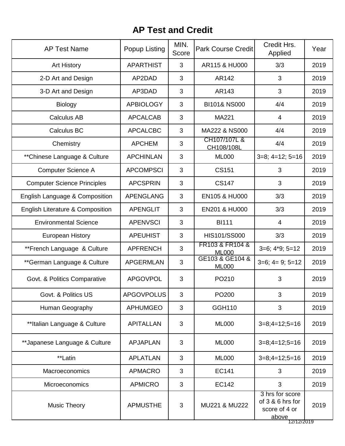## **AP Test and Credit**

| <b>AP Test Name</b>                | Popup Listing     | MIN.<br>Score | <b>Park Course Credit</b>       | Credit Hrs.<br>Applied                                                    | Year |
|------------------------------------|-------------------|---------------|---------------------------------|---------------------------------------------------------------------------|------|
| <b>Art History</b>                 | <b>APARTHIST</b>  | 3             | AR115 & HU000                   | 3/3                                                                       | 2019 |
| 2-D Art and Design                 | AP2DAD            | 3             | AR142                           | 3                                                                         | 2019 |
| 3-D Art and Design                 | AP3DAD            | 3             | AR143                           | 3                                                                         | 2019 |
| <b>Biology</b>                     | <b>APBIOLOGY</b>  | 3             | BI101& NS000                    | 4/4                                                                       | 2019 |
| <b>Calculus AB</b>                 | <b>APCALCAB</b>   | 3             | MA221                           | 4                                                                         | 2019 |
| Calculus BC                        | <b>APCALCBC</b>   | 3             | MA222 & NS000                   | 4/4                                                                       | 2019 |
| Chemistry                          | <b>APCHEM</b>     | 3             | CH107/107L &<br>CH108/108L      | 4/4                                                                       | 2019 |
| **Chinese Language & Culture       | <b>APCHINLAN</b>  | 3             | <b>ML000</b>                    | $3=8$ ; $4=12$ ; $5=16$                                                   | 2019 |
| <b>Computer Science A</b>          | <b>APCOMPSCI</b>  | 3             | <b>CS151</b>                    | 3                                                                         | 2019 |
| <b>Computer Science Principles</b> | <b>APCSPRIN</b>   | 3             | <b>CS147</b>                    | 3                                                                         | 2019 |
| English Language & Composition     | <b>APENGLANG</b>  | 3             | <b>EN105 &amp; HU000</b>        | 3/3                                                                       | 2019 |
| English Literature & Composition   | <b>APENGLIT</b>   | 3             | <b>EN201 &amp; HU000</b>        | 3/3                                                                       | 2019 |
| <b>Environmental Science</b>       | <b>APENVSCI</b>   | 3             | <b>BI111</b>                    | 4                                                                         | 2019 |
| <b>European History</b>            | <b>APEUHIST</b>   | 3             | HIS101/SS000                    | 3/3                                                                       | 2019 |
| **French Language & Culture        | <b>APFRENCH</b>   | 3             | FR103 & FR104 &<br><b>ML000</b> | $3=6; 4*9; 5=12$                                                          | 2019 |
| **German Language & Culture        | <b>APGERMLAN</b>  | 3             | GE103 & GE104 &<br><b>ML000</b> | $3=6$ ; $4=9$ ; $5=12$                                                    | 2019 |
| Govt. & Politics Comparative       | <b>APGOVPOL</b>   | 3             | PO210                           | 3                                                                         | 2019 |
| Govt. & Politics US                | <b>APGOVPOLUS</b> | 3             | PO200                           | 3                                                                         | 2019 |
| Human Geography                    | <b>APHUMGEO</b>   | 3             | GGH110                          | 3                                                                         | 2019 |
| **Italian Language & Culture       | <b>APITALLAN</b>  | 3             | <b>ML000</b>                    | $3=8;4=12;5=16$                                                           | 2019 |
| **Japanese Language & Culture      | <b>APJAPLAN</b>   | 3             | <b>ML000</b>                    | $3=8;4=12;5=16$                                                           | 2019 |
| **Latin                            | <b>APLATLAN</b>   | 3             | <b>ML000</b>                    | $3=8;4=12;5=16$                                                           | 2019 |
| Macroeconomics                     | <b>APMACRO</b>    | 3             | <b>EC141</b>                    | 3                                                                         | 2019 |
| Microeconomics                     | <b>APMICRO</b>    | 3             | <b>EC142</b>                    | 3                                                                         | 2019 |
| Music Theory                       | <b>APMUSTHE</b>   | 3             | MU221 & MU222                   | 3 hrs for score<br>of 3 & 6 hrs for<br>score of 4 or<br>above<br>27127201 | 2019 |

12/12/2019